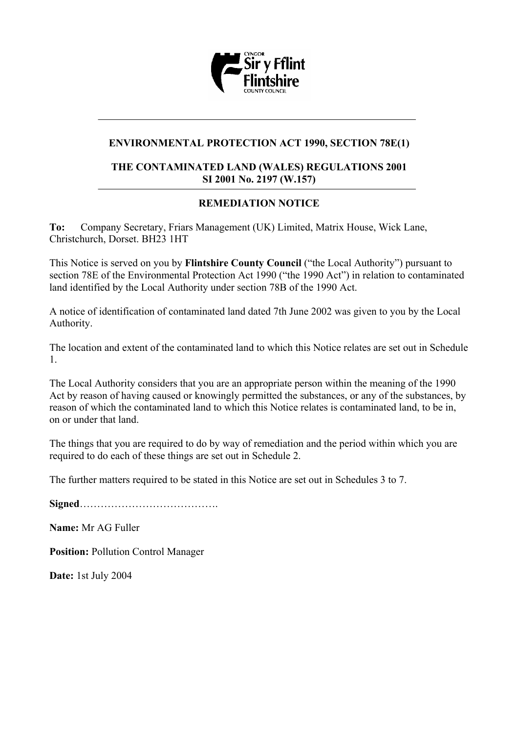

# **ENVIRONMENTAL PROTECTION ACT 1990, SECTION 78E(1)**

#### **THE CONTAMINATED LAND (WALES) REGULATIONS 2001 SI 2001 No. 2197 (W.157)**

# **REMEDIATION NOTICE**

**To:** Company Secretary, Friars Management (UK) Limited, Matrix House, Wick Lane, Christchurch, Dorset. BH23 1HT

This Notice is served on you by **Flintshire County Council** ("the Local Authority") pursuant to section 78E of the Environmental Protection Act 1990 ("the 1990 Act") in relation to contaminated land identified by the Local Authority under section 78B of the 1990 Act.

A notice of identification of contaminated land dated 7th June 2002 was given to you by the Local Authority.

The location and extent of the contaminated land to which this Notice relates are set out in Schedule 1.

The Local Authority considers that you are an appropriate person within the meaning of the 1990 Act by reason of having caused or knowingly permitted the substances, or any of the substances, by reason of which the contaminated land to which this Notice relates is contaminated land, to be in, on or under that land.

The things that you are required to do by way of remediation and the period within which you are required to do each of these things are set out in Schedule 2.

The further matters required to be stated in this Notice are set out in Schedules 3 to 7.

**Signed**………………………………….

**Name:** Mr AG Fuller

**Position:** Pollution Control Manager

**Date:** 1st July 2004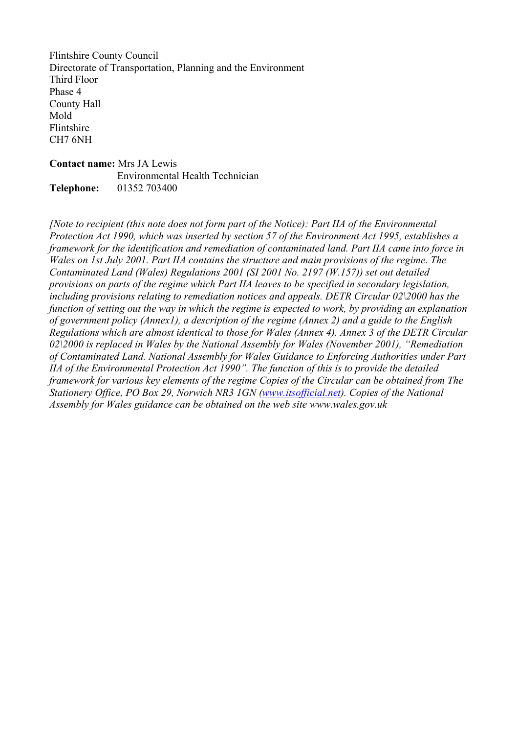Flintshire County Council Directorate of Transportation, Planning and the Environment Third Floor Phase 4 County Hall Mold Flintshire CH7 6NH

**Contact name:** Mrs JA Lewis Environmental Health Technician **Telephone:** 01352 703400

*[Note to recipient (this note does not form part of the Notice): Part IIA of the Environmental Protection Act 1990, which was inserted by section 57 of the Environment Act 1995, establishes a framework for the identification and remediation of contaminated land. Part IIA came into force in Wales on 1st July 2001. Part IIA contains the structure and main provisions of the regime. The Contaminated Land (Wales) Regulations 2001 (SI 2001 No. 2197 (W.157)) set out detailed provisions on parts of the regime which Part IIA leaves to be specified in secondary legislation, including provisions relating to remediation notices and appeals. DETR Circular 02\2000 has the function of setting out the way in which the regime is expected to work, by providing an explanation of government policy (Annex1), a description of the regime (Annex 2) and a guide to the English Regulations which are almost identical to those for Wales (Annex 4). Annex 3 of the DETR Circular 02\2000 is replaced in Wales by the National Assembly for Wales (November 2001), "Remediation of Contaminated Land. National Assembly for Wales Guidance to Enforcing Authorities under Part IIA of the Environmental Protection Act 1990". The function of this is to provide the detailed framework for various key elements of the regime Copies of the Circular can be obtained from The Stationery Office, PO Box 29, Norwich NR3 1GN [\(www.itsofficial.net](http://www.itsofficial.net/)). Copies of the National Assembly for Wales guidance can be obtained on the web site www.wales.gov.uk*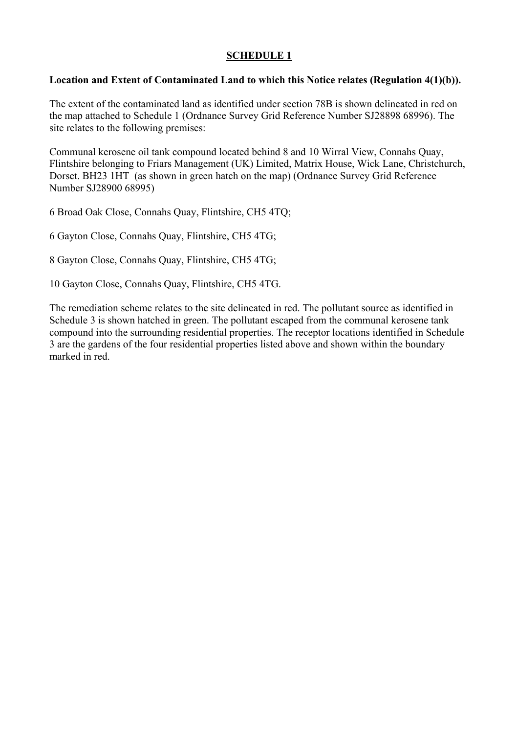### **Location and Extent of Contaminated Land to which this Notice relates (Regulation 4(1)(b)).**

The extent of the contaminated land as identified under section 78B is shown delineated in red on the map attached to Schedule 1 (Ordnance Survey Grid Reference Number SJ28898 68996). The site relates to the following premises:

Communal kerosene oil tank compound located behind 8 and 10 Wirral View, Connahs Quay, Flintshire belonging to Friars Management (UK) Limited, Matrix House, Wick Lane, Christchurch, Dorset. BH23 1HT (as shown in green hatch on the map) (Ordnance Survey Grid Reference Number SJ28900 68995)

6 Broad Oak Close, Connahs Quay, Flintshire, CH5 4TQ;

6 Gayton Close, Connahs Quay, Flintshire, CH5 4TG;

8 Gayton Close, Connahs Quay, Flintshire, CH5 4TG;

10 Gayton Close, Connahs Quay, Flintshire, CH5 4TG.

The remediation scheme relates to the site delineated in red. The pollutant source as identified in Schedule 3 is shown hatched in green. The pollutant escaped from the communal kerosene tank compound into the surrounding residential properties. The receptor locations identified in Schedule 3 are the gardens of the four residential properties listed above and shown within the boundary marked in red.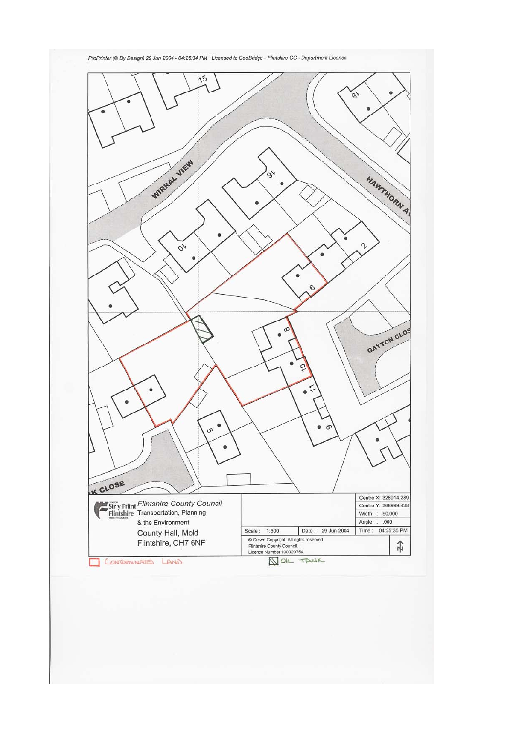

ProPrinter (@ By Design) 29 Jun 2004 - 04:25:34 PM Licensed to GeoBridge - Flintshire CC - Department Licence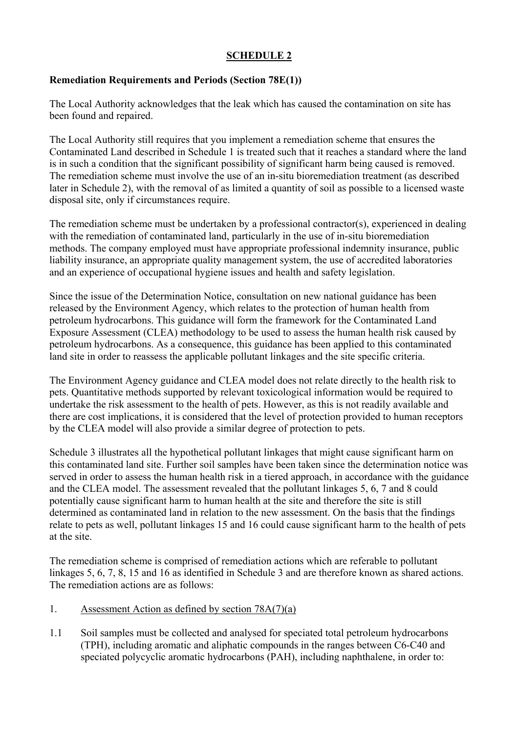# **Remediation Requirements and Periods (Section 78E(1))**

The Local Authority acknowledges that the leak which has caused the contamination on site has been found and repaired.

The Local Authority still requires that you implement a remediation scheme that ensures the Contaminated Land described in Schedule 1 is treated such that it reaches a standard where the land is in such a condition that the significant possibility of significant harm being caused is removed. The remediation scheme must involve the use of an in-situ bioremediation treatment (as described later in Schedule 2), with the removal of as limited a quantity of soil as possible to a licensed waste disposal site, only if circumstances require.

The remediation scheme must be undertaken by a professional contractor(s), experienced in dealing with the remediation of contaminated land, particularly in the use of in-situ bioremediation methods. The company employed must have appropriate professional indemnity insurance, public liability insurance, an appropriate quality management system, the use of accredited laboratories and an experience of occupational hygiene issues and health and safety legislation.

Since the issue of the Determination Notice, consultation on new national guidance has been released by the Environment Agency, which relates to the protection of human health from petroleum hydrocarbons. This guidance will form the framework for the Contaminated Land Exposure Assessment (CLEA) methodology to be used to assess the human health risk caused by petroleum hydrocarbons. As a consequence, this guidance has been applied to this contaminated land site in order to reassess the applicable pollutant linkages and the site specific criteria.

The Environment Agency guidance and CLEA model does not relate directly to the health risk to pets. Quantitative methods supported by relevant toxicological information would be required to undertake the risk assessment to the health of pets. However, as this is not readily available and there are cost implications, it is considered that the level of protection provided to human receptors by the CLEA model will also provide a similar degree of protection to pets.

Schedule 3 illustrates all the hypothetical pollutant linkages that might cause significant harm on this contaminated land site. Further soil samples have been taken since the determination notice was served in order to assess the human health risk in a tiered approach, in accordance with the guidance and the CLEA model. The assessment revealed that the pollutant linkages 5, 6, 7 and 8 could potentially cause significant harm to human health at the site and therefore the site is still determined as contaminated land in relation to the new assessment. On the basis that the findings relate to pets as well, pollutant linkages 15 and 16 could cause significant harm to the health of pets at the site.

The remediation scheme is comprised of remediation actions which are referable to pollutant linkages 5, 6, 7, 8, 15 and 16 as identified in Schedule 3 and are therefore known as shared actions. The remediation actions are as follows:

- 1. Assessment Action as defined by section 78A(7)(a)
- 1.1 Soil samples must be collected and analysed for speciated total petroleum hydrocarbons (TPH), including aromatic and aliphatic compounds in the ranges between C6-C40 and speciated polycyclic aromatic hydrocarbons (PAH), including naphthalene, in order to: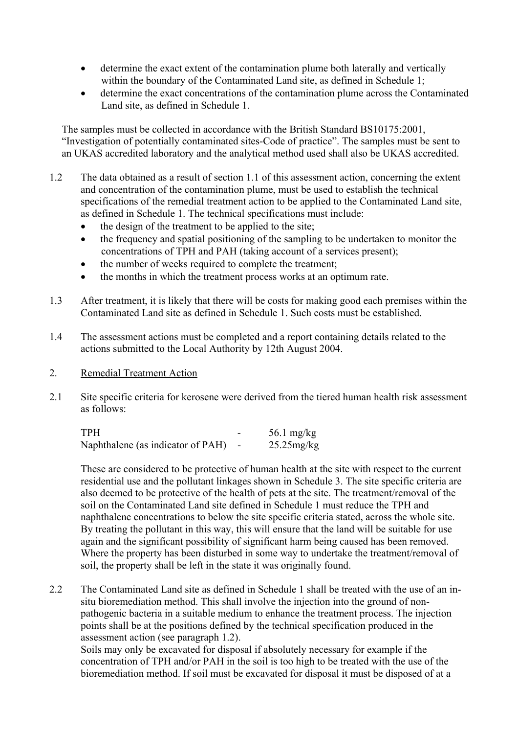- determine the exact extent of the contamination plume both laterally and vertically within the boundary of the Contaminated Land site, as defined in Schedule 1;
- determine the exact concentrations of the contamination plume across the Contaminated Land site, as defined in Schedule 1.

The samples must be collected in accordance with the British Standard BS10175:2001, "Investigation of potentially contaminated sites-Code of practice". The samples must be sent to an UKAS accredited laboratory and the analytical method used shall also be UKAS accredited.

- 1.2 The data obtained as a result of section 1.1 of this assessment action, concerning the extent and concentration of the contamination plume, must be used to establish the technical specifications of the remedial treatment action to be applied to the Contaminated Land site, as defined in Schedule 1. The technical specifications must include:
	- the design of the treatment to be applied to the site:
	- the frequency and spatial positioning of the sampling to be undertaken to monitor the concentrations of TPH and PAH (taking account of a services present);
	- the number of weeks required to complete the treatment;
	- the months in which the treatment process works at an optimum rate.
- 1.3 After treatment, it is likely that there will be costs for making good each premises within the Contaminated Land site as defined in Schedule 1. Such costs must be established.
- 1.4 The assessment actions must be completed and a report containing details related to the actions submitted to the Local Authority by 12th August 2004.
- 2. Remedial Treatment Action
- 2.1 Site specific criteria for kerosene were derived from the tiered human health risk assessment as follows:

| TPH                               |                          | 56.1 mg/kg    |
|-----------------------------------|--------------------------|---------------|
| Naphthalene (as indicator of PAH) | $\overline{\phantom{0}}$ | $25.25$ mg/kg |

These are considered to be protective of human health at the site with respect to the current residential use and the pollutant linkages shown in Schedule 3. The site specific criteria are also deemed to be protective of the health of pets at the site. The treatment/removal of the soil on the Contaminated Land site defined in Schedule 1 must reduce the TPH and naphthalene concentrations to below the site specific criteria stated, across the whole site. By treating the pollutant in this way, this will ensure that the land will be suitable for use again and the significant possibility of significant harm being caused has been removed. Where the property has been disturbed in some way to undertake the treatment/removal of soil, the property shall be left in the state it was originally found.

2.2 The Contaminated Land site as defined in Schedule 1 shall be treated with the use of an insitu bioremediation method. This shall involve the injection into the ground of nonpathogenic bacteria in a suitable medium to enhance the treatment process. The injection points shall be at the positions defined by the technical specification produced in the assessment action (see paragraph 1.2). Soils may only be excavated for disposal if absolutely necessary for example if the concentration of TPH and/or PAH in the soil is too high to be treated with the use of the

bioremediation method. If soil must be excavated for disposal it must be disposed of at a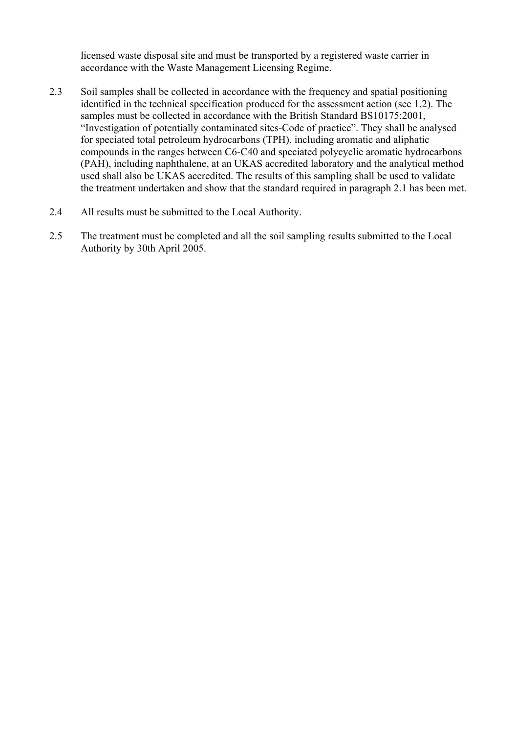licensed waste disposal site and must be transported by a registered waste carrier in accordance with the Waste Management Licensing Regime.

- 2.3 Soil samples shall be collected in accordance with the frequency and spatial positioning identified in the technical specification produced for the assessment action (see 1.2). The samples must be collected in accordance with the British Standard BS10175:2001, "Investigation of potentially contaminated sites-Code of practice". They shall be analysed for speciated total petroleum hydrocarbons (TPH), including aromatic and aliphatic compounds in the ranges between C6-C40 and speciated polycyclic aromatic hydrocarbons (PAH), including naphthalene, at an UKAS accredited laboratory and the analytical method used shall also be UKAS accredited. The results of this sampling shall be used to validate the treatment undertaken and show that the standard required in paragraph 2.1 has been met.
- 2.4 All results must be submitted to the Local Authority.
- 2.5 The treatment must be completed and all the soil sampling results submitted to the Local Authority by 30th April 2005.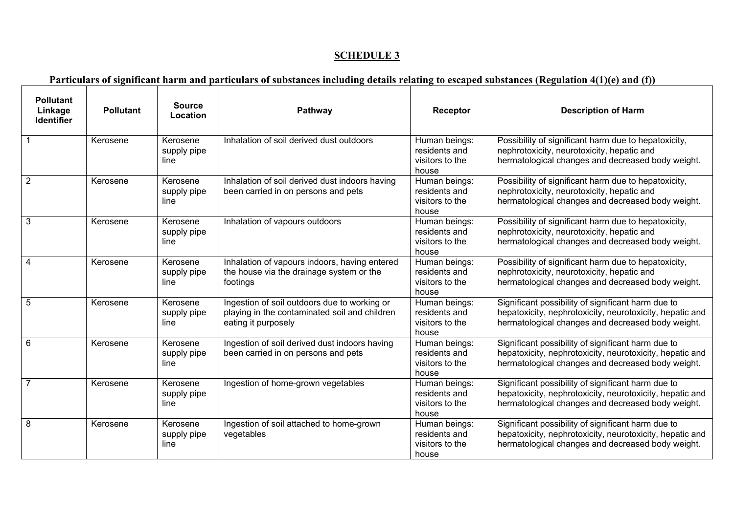# **Particulars of significant harm and particulars of substances including details relating to escaped substances (Regulation 4(1)(e) and (f))**

 $\Gamma$ 

| <b>Pollutant</b><br>Linkage<br><b>Identifier</b> | <b>Pollutant</b> | <b>Source</b><br>Location       | Pathway                                                                                                              | Receptor                                                   | <b>Description of Harm</b>                                                                                                                                          |
|--------------------------------------------------|------------------|---------------------------------|----------------------------------------------------------------------------------------------------------------------|------------------------------------------------------------|---------------------------------------------------------------------------------------------------------------------------------------------------------------------|
|                                                  | Kerosene         | Kerosene<br>supply pipe<br>line | Inhalation of soil derived dust outdoors                                                                             | Human beings:<br>residents and<br>visitors to the<br>house | Possibility of significant harm due to hepatoxicity,<br>nephrotoxicity, neurotoxicity, hepatic and<br>hermatological changes and decreased body weight.             |
| $\overline{2}$                                   | Kerosene         | Kerosene<br>supply pipe<br>line | Inhalation of soil derived dust indoors having<br>been carried in on persons and pets                                | Human beings:<br>residents and<br>visitors to the<br>house | Possibility of significant harm due to hepatoxicity,<br>nephrotoxicity, neurotoxicity, hepatic and<br>hermatological changes and decreased body weight.             |
| $\mathbf{3}$                                     | Kerosene         | Kerosene<br>supply pipe<br>line | Inhalation of vapours outdoors                                                                                       | Human beings:<br>residents and<br>visitors to the<br>house | Possibility of significant harm due to hepatoxicity,<br>nephrotoxicity, neurotoxicity, hepatic and<br>hermatological changes and decreased body weight.             |
| $\overline{4}$                                   | Kerosene         | Kerosene<br>supply pipe<br>line | Inhalation of vapours indoors, having entered<br>the house via the drainage system or the<br>footings                | Human beings:<br>residents and<br>visitors to the<br>house | Possibility of significant harm due to hepatoxicity,<br>nephrotoxicity, neurotoxicity, hepatic and<br>hermatological changes and decreased body weight.             |
| 5                                                | Kerosene         | Kerosene<br>supply pipe<br>line | Ingestion of soil outdoors due to working or<br>playing in the contaminated soil and children<br>eating it purposely | Human beings:<br>residents and<br>visitors to the<br>house | Significant possibility of significant harm due to<br>hepatoxicity, nephrotoxicity, neurotoxicity, hepatic and<br>hermatological changes and decreased body weight. |
| 6                                                | Kerosene         | Kerosene<br>supply pipe<br>line | Ingestion of soil derived dust indoors having<br>been carried in on persons and pets                                 | Human beings:<br>residents and<br>visitors to the<br>house | Significant possibility of significant harm due to<br>hepatoxicity, nephrotoxicity, neurotoxicity, hepatic and<br>hermatological changes and decreased body weight. |
| $\overline{7}$                                   | Kerosene         | Kerosene<br>supply pipe<br>line | Ingestion of home-grown vegetables                                                                                   | Human beings:<br>residents and<br>visitors to the<br>house | Significant possibility of significant harm due to<br>hepatoxicity, nephrotoxicity, neurotoxicity, hepatic and<br>hermatological changes and decreased body weight. |
| 8                                                | Kerosene         | Kerosene<br>supply pipe<br>line | Ingestion of soil attached to home-grown<br>vegetables                                                               | Human beings:<br>residents and<br>visitors to the<br>house | Significant possibility of significant harm due to<br>hepatoxicity, nephrotoxicity, neurotoxicity, hepatic and<br>hermatological changes and decreased body weight. |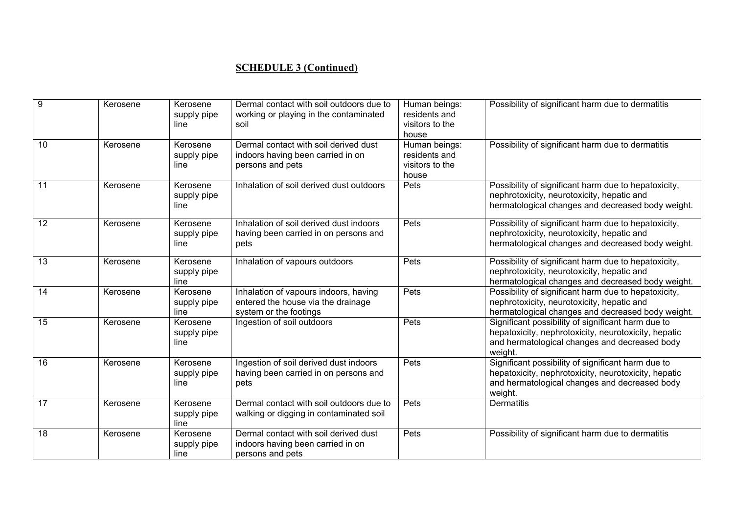# **SCHEDULE 3 (Continued)**

| 9  | Kerosene | Kerosene<br>supply pipe<br>line | Dermal contact with soil outdoors due to<br>working or playing in the contaminated<br>soil            | Human beings:<br>residents and<br>visitors to the<br>house | Possibility of significant harm due to dermatitis                                                                                                                      |
|----|----------|---------------------------------|-------------------------------------------------------------------------------------------------------|------------------------------------------------------------|------------------------------------------------------------------------------------------------------------------------------------------------------------------------|
| 10 | Kerosene | Kerosene<br>supply pipe<br>line | Dermal contact with soil derived dust<br>indoors having been carried in on<br>persons and pets        | Human beings:<br>residents and<br>visitors to the<br>house | Possibility of significant harm due to dermatitis                                                                                                                      |
| 11 | Kerosene | Kerosene<br>supply pipe<br>line | Inhalation of soil derived dust outdoors                                                              | Pets                                                       | Possibility of significant harm due to hepatoxicity,<br>nephrotoxicity, neurotoxicity, hepatic and<br>hermatological changes and decreased body weight.                |
| 12 | Kerosene | Kerosene<br>supply pipe<br>line | Inhalation of soil derived dust indoors<br>having been carried in on persons and<br>pets              | Pets                                                       | Possibility of significant harm due to hepatoxicity,<br>nephrotoxicity, neurotoxicity, hepatic and<br>hermatological changes and decreased body weight.                |
| 13 | Kerosene | Kerosene<br>supply pipe<br>line | Inhalation of vapours outdoors                                                                        | Pets                                                       | Possibility of significant harm due to hepatoxicity,<br>nephrotoxicity, neurotoxicity, hepatic and<br>hermatological changes and decreased body weight.                |
| 14 | Kerosene | Kerosene<br>supply pipe<br>line | Inhalation of vapours indoors, having<br>entered the house via the drainage<br>system or the footings | Pets                                                       | Possibility of significant harm due to hepatoxicity,<br>nephrotoxicity, neurotoxicity, hepatic and<br>hermatological changes and decreased body weight.                |
| 15 | Kerosene | Kerosene<br>supply pipe<br>line | Ingestion of soil outdoors                                                                            | Pets                                                       | Significant possibility of significant harm due to<br>hepatoxicity, nephrotoxicity, neurotoxicity, hepatic<br>and hermatological changes and decreased body<br>weight. |
| 16 | Kerosene | Kerosene<br>supply pipe<br>line | Ingestion of soil derived dust indoors<br>having been carried in on persons and<br>pets               | Pets                                                       | Significant possibility of significant harm due to<br>hepatoxicity, nephrotoxicity, neurotoxicity, hepatic<br>and hermatological changes and decreased body<br>weight. |
| 17 | Kerosene | Kerosene<br>supply pipe<br>line | Dermal contact with soil outdoors due to<br>walking or digging in contaminated soil                   | Pets                                                       | <b>Dermatitis</b>                                                                                                                                                      |
| 18 | Kerosene | Kerosene<br>supply pipe<br>line | Dermal contact with soil derived dust<br>indoors having been carried in on<br>persons and pets        | Pets                                                       | Possibility of significant harm due to dermatitis                                                                                                                      |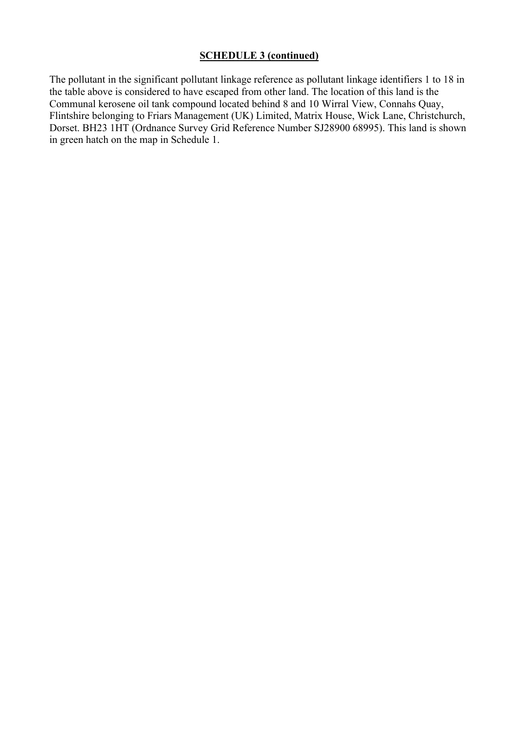# **SCHEDULE 3 (continued)**

The pollutant in the significant pollutant linkage reference as pollutant linkage identifiers 1 to 18 in the table above is considered to have escaped from other land. The location of this land is the Communal kerosene oil tank compound located behind 8 and 10 Wirral View, Connahs Quay, Flintshire belonging to Friars Management (UK) Limited, Matrix House, Wick Lane, Christchurch, Dorset. BH23 1HT (Ordnance Survey Grid Reference Number SJ28900 68995). This land is shown in green hatch on the map in Schedule 1.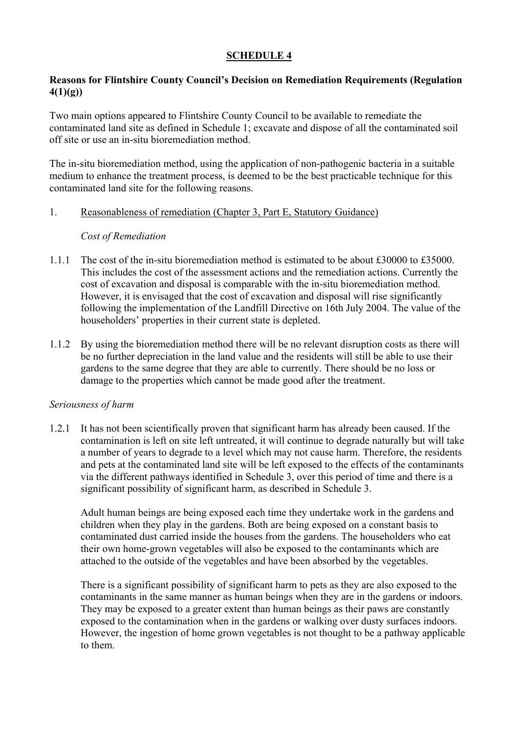# **Reasons for Flintshire County Council's Decision on Remediation Requirements (Regulation 4(1)(g))**

Two main options appeared to Flintshire County Council to be available to remediate the contaminated land site as defined in Schedule 1; excavate and dispose of all the contaminated soil off site or use an in-situ bioremediation method.

The in-situ bioremediation method, using the application of non-pathogenic bacteria in a suitable medium to enhance the treatment process, is deemed to be the best practicable technique for this contaminated land site for the following reasons.

#### 1. Reasonableness of remediation (Chapter 3, Part E, Statutory Guidance)

#### *Cost of Remediation*

- 1.1.1 The cost of the in-situ bioremediation method is estimated to be about £30000 to £35000. This includes the cost of the assessment actions and the remediation actions. Currently the cost of excavation and disposal is comparable with the in-situ bioremediation method. However, it is envisaged that the cost of excavation and disposal will rise significantly following the implementation of the Landfill Directive on 16th July 2004. The value of the householders' properties in their current state is depleted.
- 1.1.2 By using the bioremediation method there will be no relevant disruption costs as there will be no further depreciation in the land value and the residents will still be able to use their gardens to the same degree that they are able to currently. There should be no loss or damage to the properties which cannot be made good after the treatment.

#### *Seriousness of harm*

1.2.1 It has not been scientifically proven that significant harm has already been caused. If the contamination is left on site left untreated, it will continue to degrade naturally but will take a number of years to degrade to a level which may not cause harm. Therefore, the residents and pets at the contaminated land site will be left exposed to the effects of the contaminants via the different pathways identified in Schedule 3, over this period of time and there is a significant possibility of significant harm, as described in Schedule 3.

Adult human beings are being exposed each time they undertake work in the gardens and children when they play in the gardens. Both are being exposed on a constant basis to contaminated dust carried inside the houses from the gardens. The householders who eat their own home-grown vegetables will also be exposed to the contaminants which are attached to the outside of the vegetables and have been absorbed by the vegetables.

There is a significant possibility of significant harm to pets as they are also exposed to the contaminants in the same manner as human beings when they are in the gardens or indoors. They may be exposed to a greater extent than human beings as their paws are constantly exposed to the contamination when in the gardens or walking over dusty surfaces indoors. However, the ingestion of home grown vegetables is not thought to be a pathway applicable to them.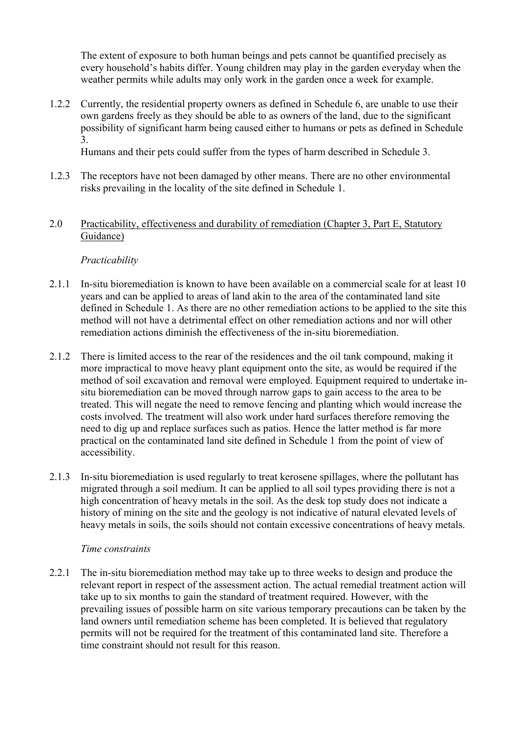The extent of exposure to both human beings and pets cannot be quantified precisely as every household's habits differ. Young children may play in the garden everyday when the weather permits while adults may only work in the garden once a week for example.

1.2.2 Currently, the residential property owners as defined in Schedule 6, are unable to use their own gardens freely as they should be able to as owners of the land, due to the significant possibility of significant harm being caused either to humans or pets as defined in Schedule 3.

Humans and their pets could suffer from the types of harm described in Schedule 3.

- 1.2.3 The receptors have not been damaged by other means. There are no other environmental risks prevailing in the locality of the site defined in Schedule 1.
- 2.0 Practicability, effectiveness and durability of remediation (Chapter 3, Part E, Statutory Guidance)

# *Practicability*

- 2.1.1 In-situ bioremediation is known to have been available on a commercial scale for at least 10 years and can be applied to areas of land akin to the area of the contaminated land site defined in Schedule 1. As there are no other remediation actions to be applied to the site this method will not have a detrimental effect on other remediation actions and nor will other remediation actions diminish the effectiveness of the in-situ bioremediation.
- 2.1.2 There is limited access to the rear of the residences and the oil tank compound, making it more impractical to move heavy plant equipment onto the site, as would be required if the method of soil excavation and removal were employed. Equipment required to undertake insitu bioremediation can be moved through narrow gaps to gain access to the area to be treated. This will negate the need to remove fencing and planting which would increase the costs involved. The treatment will also work under hard surfaces therefore removing the need to dig up and replace surfaces such as patios. Hence the latter method is far more practical on the contaminated land site defined in Schedule 1 from the point of view of accessibility.
- 2.1.3 In-situ bioremediation is used regularly to treat kerosene spillages, where the pollutant has migrated through a soil medium. It can be applied to all soil types providing there is not a high concentration of heavy metals in the soil. As the desk top study does not indicate a history of mining on the site and the geology is not indicative of natural elevated levels of heavy metals in soils, the soils should not contain excessive concentrations of heavy metals.

# *Time constraints*

2.2.1 The in-situ bioremediation method may take up to three weeks to design and produce the relevant report in respect of the assessment action. The actual remedial treatment action will take up to six months to gain the standard of treatment required. However, with the prevailing issues of possible harm on site various temporary precautions can be taken by the land owners until remediation scheme has been completed. It is believed that regulatory permits will not be required for the treatment of this contaminated land site. Therefore a time constraint should not result for this reason.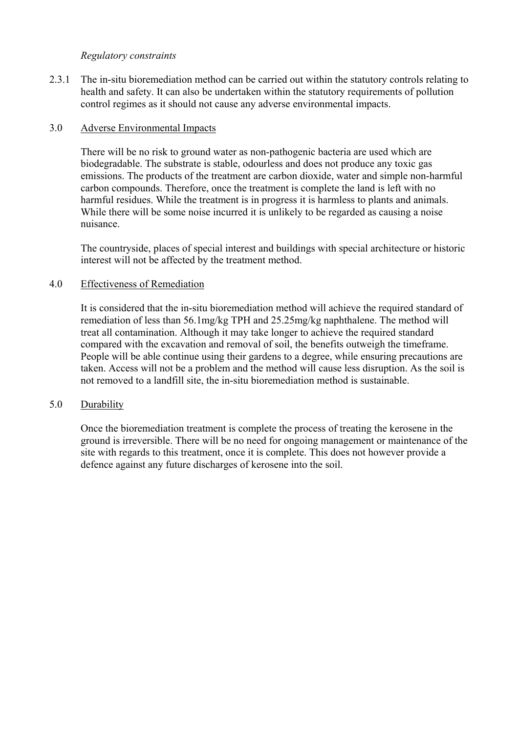#### *Regulatory constraints*

2.3.1 The in-situ bioremediation method can be carried out within the statutory controls relating to health and safety. It can also be undertaken within the statutory requirements of pollution control regimes as it should not cause any adverse environmental impacts.

#### 3.0 Adverse Environmental Impacts

There will be no risk to ground water as non-pathogenic bacteria are used which are biodegradable. The substrate is stable, odourless and does not produce any toxic gas emissions. The products of the treatment are carbon dioxide, water and simple non-harmful carbon compounds. Therefore, once the treatment is complete the land is left with no harmful residues. While the treatment is in progress it is harmless to plants and animals. While there will be some noise incurred it is unlikely to be regarded as causing a noise nuisance.

The countryside, places of special interest and buildings with special architecture or historic interest will not be affected by the treatment method.

#### 4.0 Effectiveness of Remediation

It is considered that the in-situ bioremediation method will achieve the required standard of remediation of less than 56.1mg/kg TPH and 25.25mg/kg naphthalene. The method will treat all contamination. Although it may take longer to achieve the required standard compared with the excavation and removal of soil, the benefits outweigh the timeframe. People will be able continue using their gardens to a degree, while ensuring precautions are taken. Access will not be a problem and the method will cause less disruption. As the soil is not removed to a landfill site, the in-situ bioremediation method is sustainable.

#### 5.0 Durability

Once the bioremediation treatment is complete the process of treating the kerosene in the ground is irreversible. There will be no need for ongoing management or maintenance of the site with regards to this treatment, once it is complete. This does not however provide a defence against any future discharges of kerosene into the soil.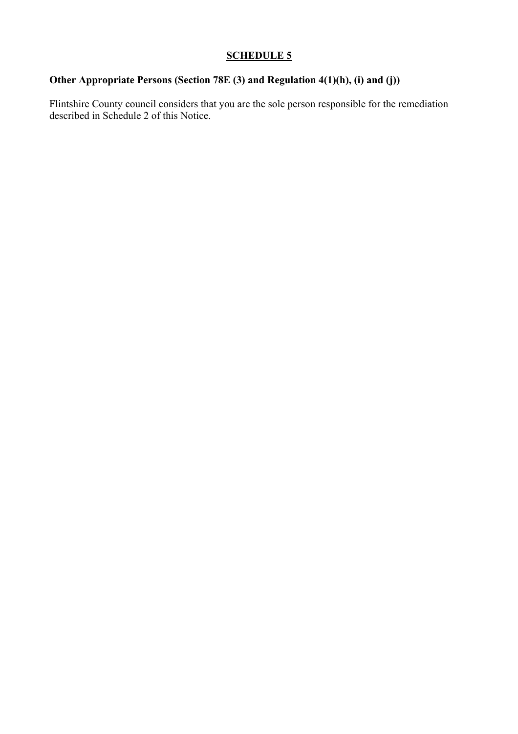# **Other Appropriate Persons (Section 78E (3) and Regulation 4(1)(h), (i) and (j))**

Flintshire County council considers that you are the sole person responsible for the remediation described in Schedule 2 of this Notice.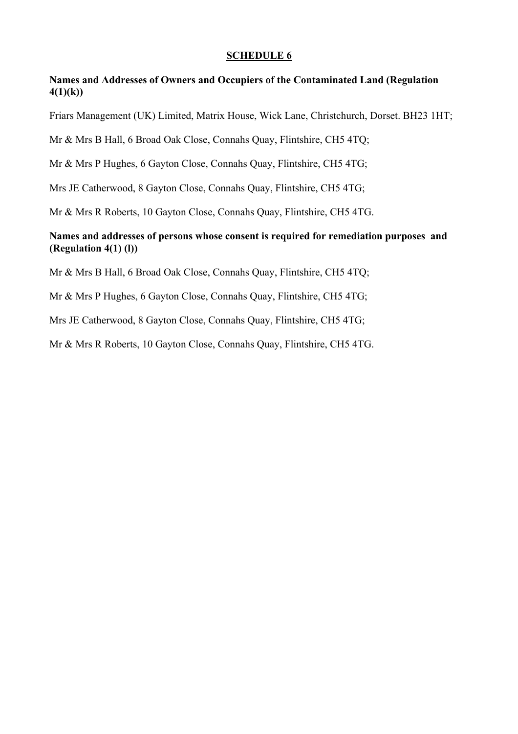# **Names and Addresses of Owners and Occupiers of the Contaminated Land (Regulation 4(1)(k))**

Friars Management (UK) Limited, Matrix House, Wick Lane, Christchurch, Dorset. BH23 1HT;

Mr & Mrs B Hall, 6 Broad Oak Close, Connahs Quay, Flintshire, CH5 4TQ;

Mr & Mrs P Hughes, 6 Gayton Close, Connahs Quay, Flintshire, CH5 4TG;

Mrs JE Catherwood, 8 Gayton Close, Connahs Quay, Flintshire, CH5 4TG;

Mr & Mrs R Roberts, 10 Gayton Close, Connahs Quay, Flintshire, CH5 4TG.

# **Names and addresses of persons whose consent is required for remediation purposes and (Regulation 4(1) (l))**

Mr & Mrs B Hall, 6 Broad Oak Close, Connahs Quay, Flintshire, CH5 4TQ;

Mr & Mrs P Hughes, 6 Gayton Close, Connahs Quay, Flintshire, CH5 4TG;

Mrs JE Catherwood, 8 Gayton Close, Connahs Quay, Flintshire, CH5 4TG;

Mr & Mrs R Roberts, 10 Gayton Close, Connahs Quay, Flintshire, CH5 4TG.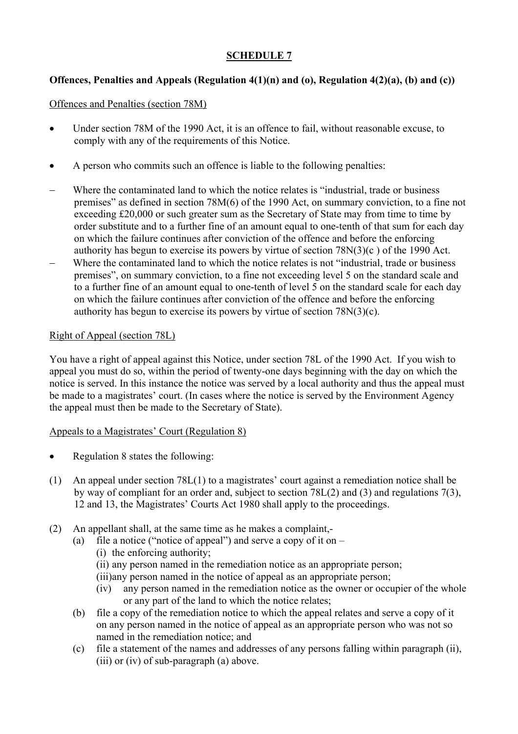# **Offences, Penalties and Appeals (Regulation 4(1)(n) and (o), Regulation 4(2)(a), (b) and (c))**

# Offences and Penalties (section 78M)

- Under section 78M of the 1990 Act, it is an offence to fail, without reasonable excuse, to comply with any of the requirements of this Notice.
- A person who commits such an offence is liable to the following penalties:
- Where the contaminated land to which the notice relates is "industrial, trade or business premises" as defined in section 78M(6) of the 1990 Act, on summary conviction, to a fine not exceeding £20,000 or such greater sum as the Secretary of State may from time to time by order substitute and to a further fine of an amount equal to one-tenth of that sum for each day on which the failure continues after conviction of the offence and before the enforcing authority has begun to exercise its powers by virtue of section 78N(3)(c ) of the 1990 Act.
- − Where the contaminated land to which the notice relates is not "industrial, trade or business premises", on summary conviction, to a fine not exceeding level 5 on the standard scale and to a further fine of an amount equal to one-tenth of level 5 on the standard scale for each day on which the failure continues after conviction of the offence and before the enforcing authority has begun to exercise its powers by virtue of section 78N(3)(c).

# Right of Appeal (section 78L)

You have a right of appeal against this Notice, under section 78L of the 1990 Act. If you wish to appeal you must do so, within the period of twenty-one days beginning with the day on which the notice is served. In this instance the notice was served by a local authority and thus the appeal must be made to a magistrates' court. (In cases where the notice is served by the Environment Agency the appeal must then be made to the Secretary of State).

# Appeals to a Magistrates' Court (Regulation 8)

- Regulation 8 states the following:
- (1) An appeal under section 78L(1) to a magistrates' court against a remediation notice shall be by way of compliant for an order and, subject to section 78L(2) and (3) and regulations 7(3), 12 and 13, the Magistrates' Courts Act 1980 shall apply to the proceedings.
- (2) An appellant shall, at the same time as he makes a complaint,-
	- (a) file a notice ("notice of appeal") and serve a copy of it on  $-$ 
		- (i) the enforcing authority;
		- (ii) any person named in the remediation notice as an appropriate person;
		- (iii)any person named in the notice of appeal as an appropriate person;
		- (iv) any person named in the remediation notice as the owner or occupier of the whole or any part of the land to which the notice relates;
	- (b) file a copy of the remediation notice to which the appeal relates and serve a copy of it on any person named in the notice of appeal as an appropriate person who was not so named in the remediation notice; and
	- (c) file a statement of the names and addresses of any persons falling within paragraph (ii), (iii) or (iv) of sub-paragraph (a) above.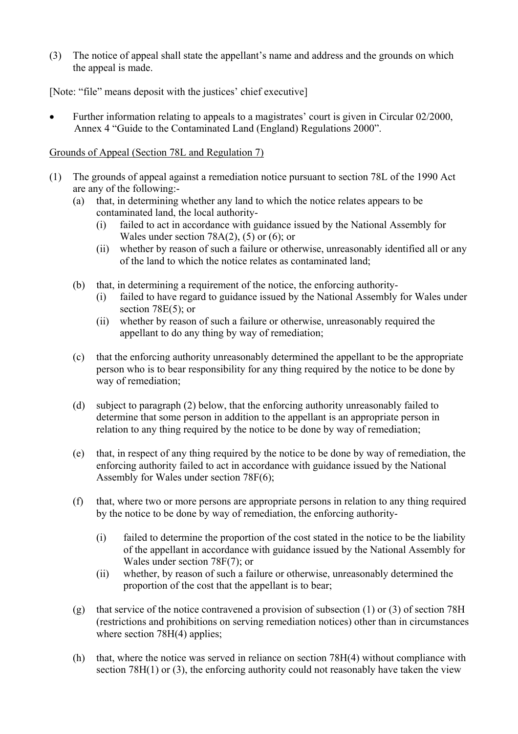(3) The notice of appeal shall state the appellant's name and address and the grounds on which the appeal is made.

[Note: "file" means deposit with the justices' chief executive]

• Further information relating to appeals to a magistrates' court is given in Circular 02/2000, Annex 4 "Guide to the Contaminated Land (England) Regulations 2000".

# Grounds of Appeal (Section 78L and Regulation 7)

- (1) The grounds of appeal against a remediation notice pursuant to section 78L of the 1990 Act are any of the following:-
	- (a) that, in determining whether any land to which the notice relates appears to be contaminated land, the local authority-
		- (i) failed to act in accordance with guidance issued by the National Assembly for Wales under section 78A(2), (5) or (6); or
		- (ii) whether by reason of such a failure or otherwise, unreasonably identified all or any of the land to which the notice relates as contaminated land;
	- (b) that, in determining a requirement of the notice, the enforcing authority-
		- (i) failed to have regard to guidance issued by the National Assembly for Wales under section 78E(5); or
		- (ii) whether by reason of such a failure or otherwise, unreasonably required the appellant to do any thing by way of remediation;
	- (c) that the enforcing authority unreasonably determined the appellant to be the appropriate person who is to bear responsibility for any thing required by the notice to be done by way of remediation;
	- (d) subject to paragraph (2) below, that the enforcing authority unreasonably failed to determine that some person in addition to the appellant is an appropriate person in relation to any thing required by the notice to be done by way of remediation;
	- (e) that, in respect of any thing required by the notice to be done by way of remediation, the enforcing authority failed to act in accordance with guidance issued by the National Assembly for Wales under section 78F(6);
	- (f) that, where two or more persons are appropriate persons in relation to any thing required by the notice to be done by way of remediation, the enforcing authority-
		- (i) failed to determine the proportion of the cost stated in the notice to be the liability of the appellant in accordance with guidance issued by the National Assembly for Wales under section 78F(7); or
		- (ii) whether, by reason of such a failure or otherwise, unreasonably determined the proportion of the cost that the appellant is to bear;
	- (g) that service of the notice contravened a provision of subsection (1) or (3) of section 78H (restrictions and prohibitions on serving remediation notices) other than in circumstances where section 78H(4) applies;
	- (h) that, where the notice was served in reliance on section 78H(4) without compliance with section 78H(1) or (3), the enforcing authority could not reasonably have taken the view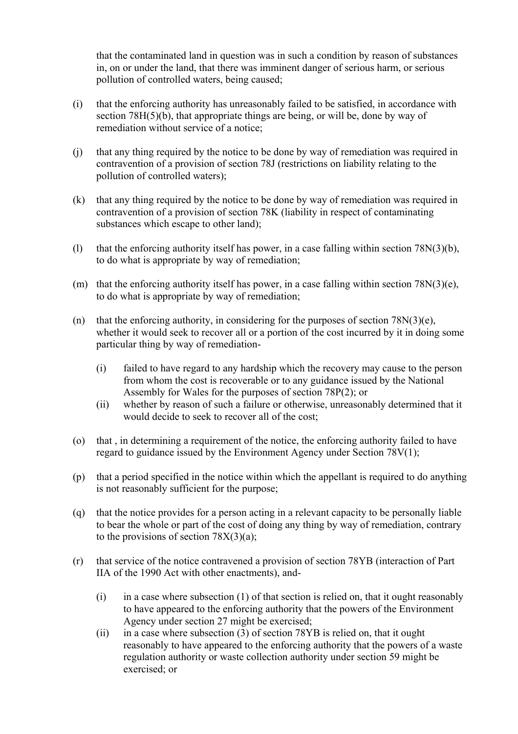that the contaminated land in question was in such a condition by reason of substances in, on or under the land, that there was imminent danger of serious harm, or serious pollution of controlled waters, being caused;

- (i) that the enforcing authority has unreasonably failed to be satisfied, in accordance with section 78H(5)(b), that appropriate things are being, or will be, done by way of remediation without service of a notice;
- (j) that any thing required by the notice to be done by way of remediation was required in contravention of a provision of section 78J (restrictions on liability relating to the pollution of controlled waters);
- (k) that any thing required by the notice to be done by way of remediation was required in contravention of a provision of section 78K (liability in respect of contaminating substances which escape to other land);
- (l) that the enforcing authority itself has power, in a case falling within section 78N(3)(b), to do what is appropriate by way of remediation;
- (m) that the enforcing authority itself has power, in a case falling within section  $78N(3)(e)$ , to do what is appropriate by way of remediation;
- (n) that the enforcing authority, in considering for the purposes of section  $78N(3)(e)$ , whether it would seek to recover all or a portion of the cost incurred by it in doing some particular thing by way of remediation-
	- (i) failed to have regard to any hardship which the recovery may cause to the person from whom the cost is recoverable or to any guidance issued by the National Assembly for Wales for the purposes of section 78P(2); or
	- (ii) whether by reason of such a failure or otherwise, unreasonably determined that it would decide to seek to recover all of the cost;
- (o) that , in determining a requirement of the notice, the enforcing authority failed to have regard to guidance issued by the Environment Agency under Section 78V(1);
- (p) that a period specified in the notice within which the appellant is required to do anything is not reasonably sufficient for the purpose;
- (q) that the notice provides for a person acting in a relevant capacity to be personally liable to bear the whole or part of the cost of doing any thing by way of remediation, contrary to the provisions of section  $78X(3)(a)$ ;
- (r) that service of the notice contravened a provision of section 78YB (interaction of Part IIA of the 1990 Act with other enactments), and-
	- $(i)$  in a case where subsection  $(1)$  of that section is relied on, that it ought reasonably to have appeared to the enforcing authority that the powers of the Environment Agency under section 27 might be exercised;
	- (ii) in a case where subsection (3) of section 78YB is relied on, that it ought reasonably to have appeared to the enforcing authority that the powers of a waste regulation authority or waste collection authority under section 59 might be exercised; or